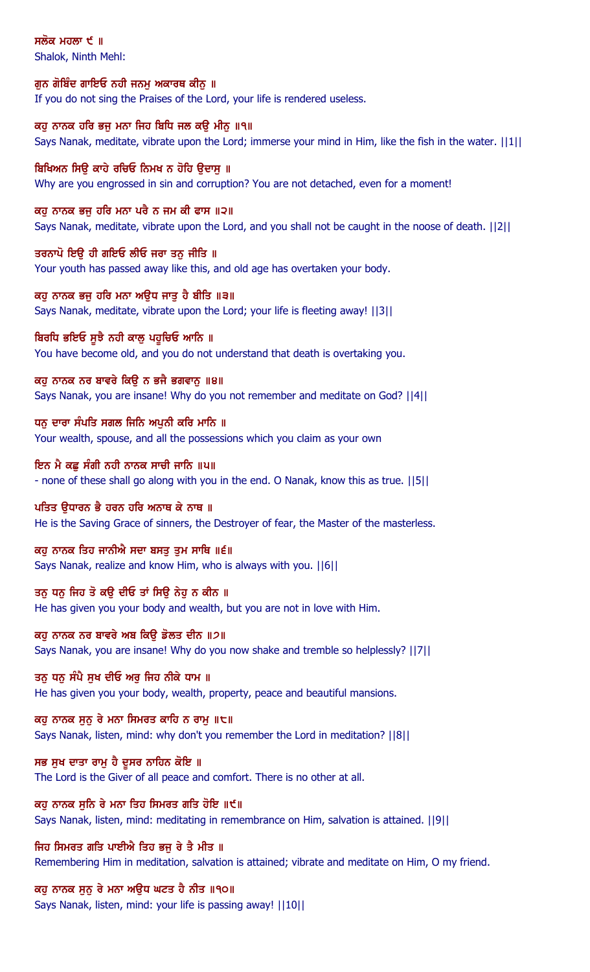ਸਲੋਕ ਮਹਲਾ  $\epsilon$  ॥

Shalok, Ninth Mehl:

#### ਗੁਨ ਗੋਬਿੰਦ ਗਾਇਓ ਨਹੀ ਜਨਮੂ ਅਕਾਰਥ ਕੀਨੂ ॥

If you do not sing the Praises of the Lord, your life is rendered useless.

ਕਹ ਨਾਨਕ ਹਰਿ ਭਜ ਮਨਾ ਜਿਹ ਬਿਧਿ ਜਲ ਕੳ ਮੀਨ ॥੧॥ Says Nanak, meditate, vibrate upon the Lord; immerse your mind in Him, like the fish in the water. ||1||

# ਬਿਖਿਅਨ ਸਿੳ ਕਾਹੇ ਰਚਿਓ ਨਿਮਖ ਨ ਹੋਹਿ ੳਦਾਸ ॥ Why are you engrossed in sin and corruption? You are not detached, even for a moment!

ਕਹੁ ਨਾਨਕ ਭਜੁ ਹਰਿ ਮਨਾ ਪਰੈ ਨ ਜਮ ਕੀ ਫਾਸ ॥੨॥

Says Nanak, meditate, vibrate upon the Lord, and you shall not be caught in the noose of death. ||2||

# ਤਰਨਾਪੋ ਇਉ ਹੀ ਗਇਓ ਲੀਓ ਜਰਾ ਤਨੁ ਜੀਤਿ ॥

Your youth has passed away like this, and old age has overtaken your body.

#### ਕਹ ਨਾਨਕ ਭਜ ਹਰਿ ਮਨਾ ਅੳਧ ਜਾਤ ਹੈ ਬੀਤਿ ॥੩॥

Says Nanak, meditate, vibrate upon the Lord; your life is fleeting away! ||3||

# ਬਿਰਧਿ ਭਇਓ ਸੁਝੈ ਨਹੀ ਕਾਲੂ ਪਹੁਚਿਓ ਆਨਿ ॥

You have become old, and you do not understand that death is overtaking you.

# ਕਹੁ ਨਾਨਕ ਨਰ ਬਾਵਰੇ ਕਿਉ ਨ ਭਜੈ ਭਗਵਾਨੁ ॥੪॥

Says Nanak, you are insane! Why do you not remember and meditate on God? ||4||

# ਧਨੂ ਦਾਰਾ ਸੰਪਤਿ ਸਗਲ ਜਿਨਿ ਅਪੂਨੀ ਕਰਿ ਮਾਨਿ ॥

Your wealth, spouse, and all the possessions which you claim as your own

# ਇਨ ਮੈ ਕਛ ਸੰਗੀ ਨਹੀ ਨਾਨਕ ਸਾਚੀ ਜਾਨਿ ॥੫॥

- none of these shall go along with you in the end. O Nanak, know this as true. ||5||

## ਪਤਿਤ ਉਧਾਰਨ ਭੈ ਹਰਨ ਹਰਿ ਅਨਾਥ ਕੇ ਨਾਥ ॥

He is the Saving Grace of sinners, the Destroyer of fear, the Master of the masterless.

# ਕਹੁ ਨਾਨਕ ਤਿਹ ਜਾਨੀਐ ਸਦਾ ਬਸਤੁ ਤੁਮ ਸਾਥਿ ॥੬॥

Says Nanak, realize and know Him, who is always with you. ||6||

#### ਤਨ ਧਨ ਜਿਹ ਤੋ ਕੳ ਦੀਓ ਤਾਂ ਸਿੳ ਨੇਹ ਨ ਕੀਨ ॥

He has given you your body and wealth, but you are not in love with Him.

# ਕਹੂ ਨਾਨਕ ਨਰ ਬਾਵਰੇ ਅਬ ਕਿਉ ਡੋਲਤ ਦੀਨ ॥੭॥

Says Nanak, you are insane! Why do you now shake and tremble so helplessly? ||7||

# ਤਨ ਧਨ ਸੰਪੈ ਸਖ ਦੀਓ ਅਰ ਜਿਹ ਨੀਕੇ ਧਾਮ ॥

He has given you your body, wealth, property, peace and beautiful mansions.

# ਕਹੁ ਨਾਨਕ ਸੁਨੂ ਰੇ ਮਨਾ ਸਿਮਰਤ ਕਾਹਿ ਨ ਰਾਮੁ ॥੮॥

Says Nanak, listen, mind: why don't you remember the Lord in meditation? ||8||

# ਸਭ ਸੁਖ ਦਾਤਾ ਰਾਮੂ ਹੈ ਦੂਸਰ ਨਾਹਿਨ ਕੋਇ ॥

The Lord is the Giver of all peace and comfort. There is no other at all.

# ਕਹੁ ਨਾਨਕ ਸੁਨਿ ਰੇ ਮਨਾ ਤਿਹ ਸਿਮਰਤ ਗਤਿ ਹੋਇ ॥੯॥

Says Nanak, listen, mind: meditating in remembrance on Him, salvation is attained. ||9||

# ਜਿਹ ਸਿਮਰਤ ਗਤਿ ਪਾਈਐ ਤਿਹ ਭਜੂ ਰੇ ਤੈ ਮੀਤ ॥

Remembering Him in meditation, salvation is attained; vibrate and meditate on Him, O my friend.

# ਕਹੁ ਨਾਨਕ ਸੁਨੂ ਰੇ ਮਨਾ ਅਉਧ ਘਟਤ ਹੈ ਨੀਤ ॥੧੦॥

Says Nanak, listen, mind: your life is passing away! ||10||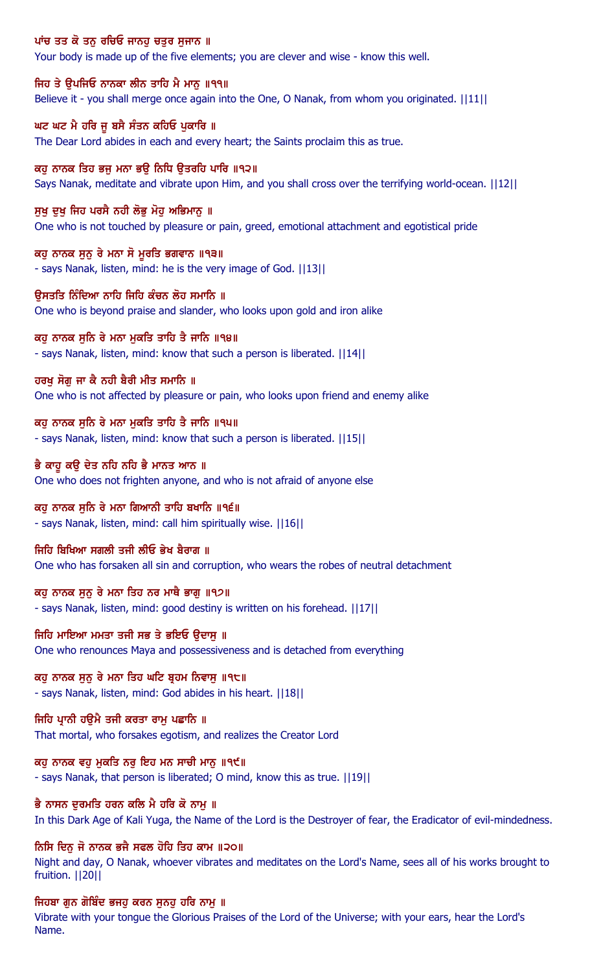## ਪਾਂਚ ਤਤ ਕੋ ਤਨੂ ਰਚਿਓ ਜਾਨਹੂ ਚਤੁਰ ਸੁਜਾਨ ॥

Your body is made up of the five elements; you are clever and wise - know this well.

#### ਜਿਹ ਤੇ ਉਪਜਿਓ ਨਾਨਕਾ ਲੀਨ ਤਾਹਿ ਮੈ ਮਾਨੂ ॥੧੧॥

Believe it - you shall merge once again into the One, O Nanak, from whom you originated.  $||11||$ 

#### ਘਟ ਘਟ ਮੈ ਹਰਿ ਜ ਬਸੈ ਸੰਤਨ ਕਹਿਓ ਪਕਾਰਿ ॥

The Dear Lord abides in each and every heart; the Saints proclaim this as true.

## ਕਹ ਨਾਨਕ ਤਿਹ ਭਜ ਮਨਾ ਭੳ ਨਿਧਿ ੳਤਰਹਿ ਪਾਰਿ ॥੧੨॥

Says Nanak, meditate and vibrate upon Him, and you shall cross over the terrifying world-ocean. ||12||

#### ਸਖ ਦਖ ਜਿਹ ਪਰਸੈ ਨਹੀ ਲੋਭ ਮੋਹ ਅਭਿਮਾਨ ॥

One who is not touched by pleasure or pain, greed, emotional attachment and egotistical pride

#### ਕਹੁ ਨਾਨਕ ਸੁਨੁ ਰੇ ਮਨਾ ਸੋ ਮੁਰਤਿ ਭਗਵਾਨ ॥੧੩॥

- says Nanak, listen, mind: he is the very image of God. ||13||

#### ੳਸਤਤਿ ਨਿੰਦਿਆ ਨਾਹਿ ਜਿਹਿ ਕੰਚਨ ਲੋਹ ਸਮਾਨਿ ॥

One who is beyond praise and slander, who looks upon gold and iron alike

#### ਕਹ ਨਾਨਕ ਸਨਿ ਰੇ ਮਨਾ ਮਕਤਿ ਤਾਹਿ ਤੈ ਜਾਨਿ ॥੧੪॥

- says Nanak, listen, mind: know that such a person is liberated. ||14||

#### ਹਰਖੂ ਸੋਗੂ ਜਾ ਕੈ ਨਹੀ ਬੈਰੀ ਮੀਤ ਸਮਾਨਿ ॥

One who is not affected by pleasure or pain, who looks upon friend and enemy alike

#### ਕਹੁ ਨਾਨਕ ਸੁਨਿ ਰੇ ਮਨਾ ਮੁਕਤਿ ਤਾਹਿ ਤੈ ਜਾਨਿ ॥੧੫॥

- says Nanak, listen, mind: know that such a person is liberated. ||15||

#### ਭੈ ਕਾਹੂ ਕੳ ਦੇਤ ਨਹਿ ਨਹਿ ਭੈ ਮਾਨਤ ਆਨ ॥

One who does not frighten anyone, and who is not afraid of anyone else

# ਕਹੁ ਨਾਨਕ ਸੁਨਿ ਰੇ ਮਨਾ ਗਿਆਨੀ ਤਾਹਿ ਬਖਾਨਿ ॥੧੬॥

- says Nanak, listen, mind: call him spiritually wise. ||16||

#### ਜਿਹਿ ਬਿਖਿਆ ਸਗਲੀ ਤਜੀ ਲੀਓ ਭੇਖ ਬੈਰਾਗ ॥

One who has forsaken all sin and corruption, who wears the robes of neutral detachment

#### ਕਹ ਨਾਨਕ ਸਨ ਰੇ ਮਨਾ ਤਿਹ ਨਰ ਮਾਥੈ ਭਾਗ ॥੧੭॥

- says Nanak, listen, mind: good destiny is written on his forehead. ||17||

#### ਜਿਹਿ ਮਾਇਆ ਮਮਤਾ ਤਜੀ ਸਭ ਤੇ ਭਇਓ ਉਦਾਸੁ ॥

One who renounces Maya and possessiveness and is detached from everything

#### ਕਹੂ ਨਾਨਕ ਸੁਨੂ ਰੇ ਮਨਾ ਤਿਹ ਘਟਿ ਬ੍ਰਹਮ ਨਿਵਾਸੁ ॥੧੮॥

- says Nanak, listen, mind: God abides in his heart. ||18||

#### ਜਿਹਿ ਪਾਨੀ ਹੳਮੈ ਤਜੀ ਕਰਤਾ ਰਾਮ ਪਛਾਨਿ ॥

That mortal, who forsakes egotism, and realizes the Creator Lord

#### ਕਹ ਨਾਨਕ ਵਹ ਮਕਤਿ ਨਰ ਇਹ ਮਨ ਸਾਚੀ ਮਾਨ ॥੧੯॥

- says Nanak, that person is liberated; O mind, know this as true. ||19||

#### ਭੈ ਨਾਸਨ ਦੁਰਮਤਿ ਹਰਨ ਕਲਿ ਮੈ ਹਰਿ ਕੋ ਨਾਮੁ ॥

In this Dark Age of Kali Yuga, the Name of the Lord is the Destroyer of fear, the Eradicator of evil-mindedness.

# ਨਿਸਿ ਦਿਨੁ ਜੋ ਨਾਨਕ ਭਜੈ ਸਫਲ ਹੋਹਿ ਤਿਹ ਕਾਮ ॥੨੦॥

Night and day, O Nanak, whoever vibrates and meditates on the Lord's Name, sees all of his works brought to fruition. ||20||

# ਜਿਹਬਾ ਗੁਨ ਗੋਬਿੰਦ ਭਜਹੂ ਕਰਨ ਸੁਨਹੂ ਹਰਿ ਨਾਮੂ ॥

Vibrate with your tongue the Glorious Praises of the Lord of the Universe; with your ears, hear the Lord's Name.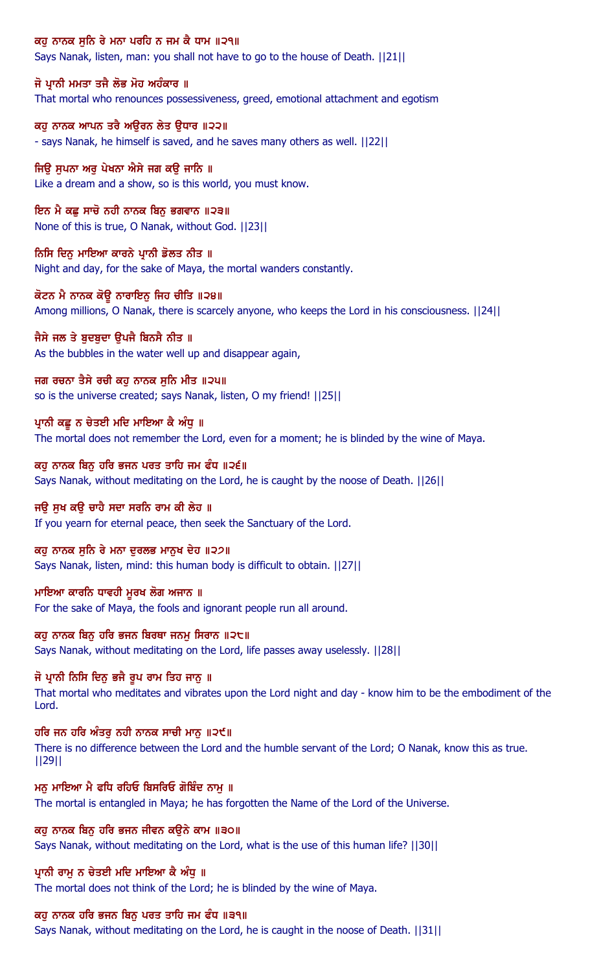# ਕਹੁ ਨਾਨਕ ਸੁਨਿ ਰੇ ਮਨਾ ਪਰਹਿ ਨ ਜਮ ਕੈ ਧਾਮ ॥੨੧॥

Says Nanak, listen, man: you shall not have to go to the house of Death. ||21||

#### ਜੋ ਪ੍ਰਾਨੀ ਮਮਤਾ ਤਜੈ ਲੋਭ ਮੋਹ ਅਹੰਕਾਰ ॥

That mortal who renounces possessiveness, greed, emotional attachment and egotism

ਕਹ ਨਾਨਕ ਆਪਨ ਤਰੈ ਅੳਰਨ ਲੇਤ ੳਧਾਰ ॥੨੨॥ - says Nanak, he himself is saved, and he saves many others as well. ||22||

ਜਿੳ ਸਪਨਾ ਅਰ ਪੇਖਨਾ ਐਸੇ ਜਗ ਕੳ ਜਾਨਿ ॥ Like a dream and a show, so is this world, you must know.

ਇਨ ਮੈ ਕਛੂ ਸਾਚੋ ਨਹੀ ਨਾਨਕ ਬਿਨੂ ਭਗਵਾਨ ॥੨੩॥ None of this is true, O Nanak, without God. ||23||

ਨਿਸਿ ਦਿਨੁ ਮਾਇਆ ਕਾਰਨੇ ਪ੍ਰਾਨੀ ਡੋਲਤ ਨੀਤ ॥ Night and day, for the sake of Maya, the mortal wanders constantly.

ਕੋਟਨ ਮੈ ਨਾਨਕ ਕੋਊ ਨਾਰਾਇਨੂ ਜਿਹ ਚੀਤਿ ॥੨੪॥ Among millions, O Nanak, there is scarcely anyone, who keeps the Lord in his consciousness. ||24||

ਜੈਸੇ ਜਲ ਤੇ ਬਦਬਦਾ ੳਪਜੈ ਬਿਨਸੈ ਨੀਤ ॥ As the bubbles in the water well up and disappear again,

ਜਗ ਰਚਨਾ ਤੈਸੇ ਰਚੀ ਕਹੁ ਨਾਨਕ ਸੁਨਿ ਮੀਤ ॥੨੫॥ so is the universe created; says Nanak, listen, O my friend! ||25||

ਪ੍ਰਾਨੀ ਕਛੂ ਨ ਚੇਤਈ ਮਦਿ ਮਾਇਆ ਕੈ ਅੰਧੂ ॥ The mortal does not remember the Lord, even for a moment; he is blinded by the wine of Maya.

ਕਹ ਨਾਨਕ ਬਿਨ ਹਰਿ ਭਜਨ ਪਰਤ ਤਾਹਿ ਜਮ ਫੰਧ ॥੨੬॥ Says Nanak, without meditating on the Lord, he is caught by the noose of Death. ||26||

ਜਉ ਸੁਖ ਕਉ ਚਾਹੈ ਸਦਾ ਸਰਨਿ ਰਾਮ ਕੀ ਲੇਹ ॥ If you yearn for eternal peace, then seek the Sanctuary of the Lord.

ਕਹੁ ਨਾਨਕ ਸੁਨਿ ਰੇ ਮਨਾ ਦੁਰਲਭ ਮਾਨੁਖ ਦੇਹ ॥੨੭॥ Says Nanak, listen, mind: this human body is difficult to obtain. ||27||

ਮਾਇਆ ਕਾਰਨਿ ਧਾਵਹੀ ਮਰਖ ਲੋਗ ਅਜਾਨ ॥ For the sake of Maya, the fools and ignorant people run all around.

ਕਹੂ ਨਾਨਕ ਬਿਨੂ ਹਰਿ ਭਜਨ ਬਿਰਥਾ ਜਨਮੂ ਸਿਰਾਨ ॥੨੮॥ Says Nanak, without meditating on the Lord, life passes away uselessly. ||28||

#### ਜੋ ਪ੍ਰਾਨੀ ਨਿਸਿ ਦਿਨੂ ਭਜੈ ਰੂਪ ਰਾਮ ਤਿਹ ਜਾਨੂ ॥

That mortal who meditates and vibrates upon the Lord night and day - know him to be the embodiment of the Lord.

ਹਰਿ ਜਨ ਹਰਿ ਅੰਤਰੂ ਨਹੀ ਨਾਨਕ ਸਾਚੀ ਮਾਨੂ ॥੨੯॥ There is no difference between the Lord and the humble servant of the Lord; O Nanak, know this as true. ||29||

ਮਨ ਮਾਇਆ ਮੈ ਫਧਿ ਰਹਿਓ ਬਿਸਰਿਓ ਗੋਬਿੰਦ ਨਾਮ ॥ The mortal is entangled in Maya; he has forgotten the Name of the Lord of the Universe.

ਕਹੁ ਨਾਨਕ ਬਿਨੁ ਹਰਿ ਭਜਨ ਜੀਵਨ ਕਉਨੇ ਕਾਮ ॥੩੦॥ Says Nanak, without meditating on the Lord, what is the use of this human life? ||30||

ਪ੍ਰਾਨੀ ਰਾਮੂ ਨ ਚੇਤਈ ਮਦਿ ਮਾਇਆ ਕੈ ਅੰਧੂ ॥ The mortal does not think of the Lord; he is blinded by the wine of Maya.

ਕਹੁ ਨਾਨਕ ਹਰਿ ਭਜਨ ਬਿਨੁ ਪਰਤ ਤਾਹਿ ਜਮ ਫੰਧ ॥੩੧॥

Says Nanak, without meditating on the Lord, he is caught in the noose of Death. ||31||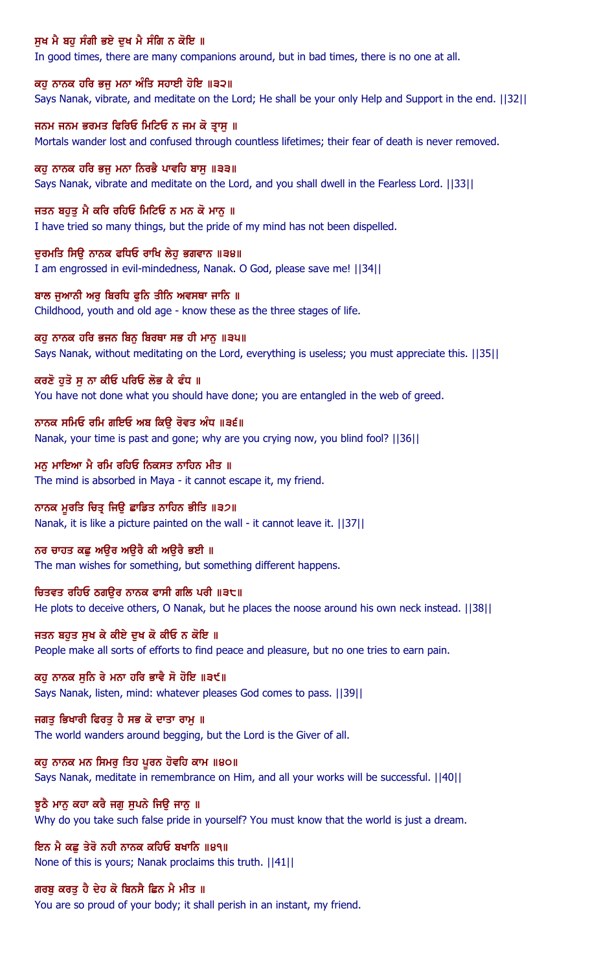# ਸੁਖ ਮੈ ਬਹੁ ਸੰਗੀ ਭਏ ਦੁਖ ਮੈ ਸੰਗਿ ਨ ਕੋਇ ॥

In good times, there are many companions around, but in bad times, there is no one at all.

ਕਹੂ ਨਾਨਕ ਹਰਿ ਭਜੂ ਮਨਾ ਅੰਤਿ ਸਹਾਈ ਹੋਇ ॥੩੨॥

Says Nanak, vibrate, and meditate on the Lord; He shall be your only Help and Support in the end. ||32||

ਜਨਮ ਜਨਮ ਭਰਮਤ ਫਿਰਿਓ ਮਿਟਿਓ ਨ ਜਮ ਕੋ ਤਾਸ ॥ Mortals wander lost and confused through countless lifetimes; their fear of death is never removed.

ਕਹ ਨਾਨਕ ਹਰਿ ਭਜ ਮਨਾ ਨਿਰਭੈ ਪਾਵਹਿ ਬਾਸ ॥੩੩॥ Says Nanak, vibrate and meditate on the Lord, and you shall dwell in the Fearless Lord. ||33||

ਜਤਨ ਬਹੁਤੁ ਮੈ ਕਰਿ ਰਹਿਓ ਮਿਟਿਓ ਨ ਮਨ ਕੋ ਮਾਨੁ ॥ I have tried so many things, but the pride of my mind has not been dispelled.

ਦੁਰਮਤਿ ਸਿਉ ਨਾਨਕ ਫਧਿਓ ਰਾਖਿ ਲੇਹੁ ਭਗਵਾਨ ॥੩੪॥ I am engrossed in evil-mindedness, Nanak. O God, please save me! ||34||

ਬਾਲ ਜੁਆਨੀ ਅਰੁ ਬਿਰਧਿ ਫੁਨਿ ਤੀਨਿ ਅਵਸਥਾ ਜਾਨਿ ॥ Childhood, youth and old age - know these as the three stages of life.

ਕਹੁ ਨਾਨਕ ਹਰਿ ਭਜਨ ਬਿਨੁ ਬਿਰਥਾ ਸਭ ਹੀ ਮਾਨੁ ॥੩੫॥ Says Nanak, without meditating on the Lord, everything is useless; you must appreciate this. ||35||

ਕਰਣੋ ਹੁਤੋ ਸੁ ਨਾ ਕੀਓ ਪਰਿਓ ਲੋਭ ਕੈ ਫੰਧ ॥ You have not done what you should have done; you are entangled in the web of greed.

ਨਾਨਕ ਸਮਿਓ ਰਮਿ ਗਇਓ ਅਬ ਕਿਉ ਰੋਵਤ ਅੰਧ ॥੩੬॥ Nanak, your time is past and gone; why are you crying now, you blind fool? ||36||

ਮਨ ਮਾਇਆ ਮੈ ਰਮਿ ਰਹਿਓ ਨਿਕਸਤ ਨਾਹਿਨ ਮੀਤ ॥ The mind is absorbed in Maya - it cannot escape it, my friend.

ਨਾਨਕ ਮੁਰਤਿ ਚਿਤ੍ਰ ਜਿਉ ਛਾਡਿਤ ਨਾਹਿਨ ਭੀਤਿ ॥੩੭॥ Nanak, it is like a picture painted on the wall - it cannot leave it. ||37||

ਨਰ ਚਾਹਤ ਕਛੂ ਅਉਰ ਅਉਰੈ ਕੀ ਅਉਰੈ ਭਈ ॥ The man wishes for something, but something different happens.

ਚਿਤਵਤ ਰਹਿਓ ਠਗੳਰ ਨਾਨਕ ਫਾਸੀ ਗਲਿ ਪਰੀ ॥੩੮॥ He plots to deceive others, O Nanak, but he places the noose around his own neck instead. ||38||

ਜਤਨ ਬਹੁਤ ਸੁਖ ਕੇ ਕੀਏ ਦੁਖ ਕੋ ਕੀਓ ਨ ਕੋਇ ॥ People make all sorts of efforts to find peace and pleasure, but no one tries to earn pain.

ਕਹ ਨਾਨਕ ਸਨਿ ਰੇ ਮਨਾ ਹਰਿ ਭਾਵੈ ਸੋ ਹੋਇ ॥੩੯॥ Says Nanak, listen, mind: whatever pleases God comes to pass. ||39||

ਜਗਤੁ ਭਿਖਾਰੀ ਫਿਰਤੁ ਹੈ ਸਭ ਕੋ ਦਾਤਾ ਰਾਮੁ ॥ The world wanders around begging, but the Lord is the Giver of all.

ਕਹੁ ਨਾਨਕ ਮਨ ਸਿਮਰੂ ਤਿਹ ਪੂਰਨ ਹੋਵਹਿ ਕਾਮ ॥੪੦॥ Says Nanak, meditate in remembrance on Him, and all your works will be successful. ||40||

ਝੁਠੈ ਮਾਨੂ ਕਹਾ ਕਰੈ ਜਗੂ ਸੁਪਨੇ ਜਿਉ ਜਾਨੂ ॥ Why do you take such false pride in yourself? You must know that the world is just a dream.

ਇਨ ਮੈ ਕਛੂ ਤੇਰੋ ਨਹੀ ਨਾਨਕ ਕਹਿਓ ਬਖਾਨਿ ॥੪੧॥ None of this is yours; Nanak proclaims this truth. ||41||

ਗਰਬੂ ਕਰਤੂ ਹੈ ਦੇਹ ਕੋ ਬਿਨਸੈ ਛਿਨ ਮੈ ਮੀਤ ॥ You are so proud of your body; it shall perish in an instant, my friend.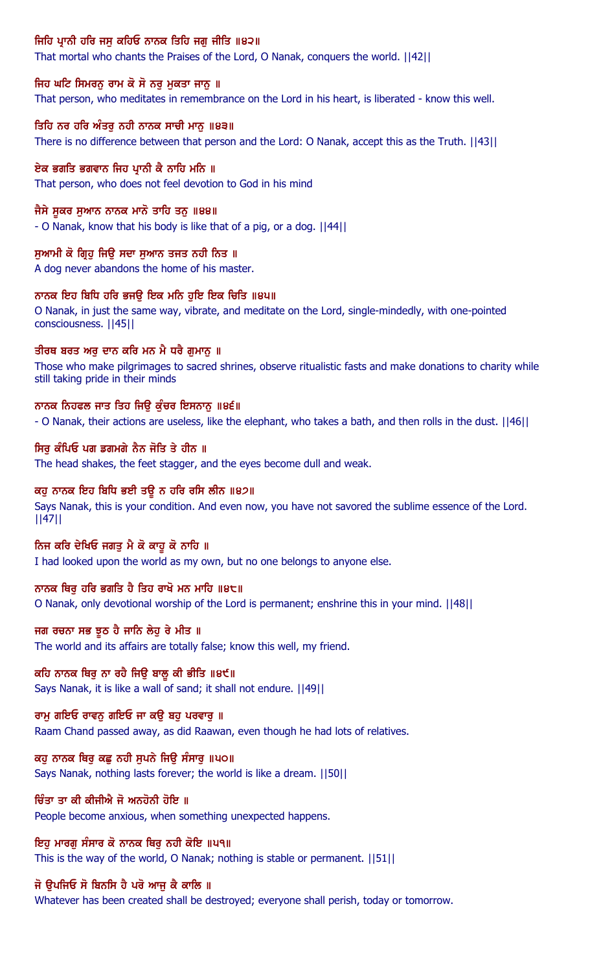# ਜਿਹਿ ਪ੍ਰਾਨੀ ਹਰਿ ਜਸੁ ਕਹਿਓ ਨਾਨਕ ਤਿਹਿ ਜਗੁ ਜੀਤਿ ॥੪੨॥

That mortal who chants the Praises of the Lord, O Nanak, conquers the world. ||42||

#### ਜਿਹ ਘਟਿ ਸਿਮਰਨੂ ਰਾਮ ਕੋ ਸੋ ਨਰੂ ਮੁਕਤਾ ਜਾਨੂ ॥

That person, who meditates in remembrance on the Lord in his heart, is liberated - know this well.

#### ਤਿਹਿ ਨਰ ਹਰਿ ਅੰਤਰ ਨਹੀ ਨਾਨਕ ਸਾਚੀ ਮਾਨ ॥੪੩॥

There is no difference between that person and the Lord: O Nanak, accept this as the Truth. ||43||

#### ਏਕ ਭਗਤਿ ਭਗਵਾਨ ਜਿਹ ਪਾਨੀ ਕੈ ਨਾਹਿ ਮਨਿ ॥

That person, who does not feel devotion to God in his mind

#### ਜੈਸੇ ਸੁਕਰ ਸੁਆਨ ਨਾਨਕ ਮਾਨੋ ਤਾਹਿ ਤਨੁ ॥੪੪॥

- O Nanak, know that his body is like that of a pig, or a dog. ||44||

#### ਸੁਆਮੀ ਕੋ ਗ੍ਰਿਹੂ ਜਿਉ ਸਦਾ ਸੁਆਨ ਤਜਤ ਨਹੀ ਨਿਤ ॥

A dog never abandons the home of his master.

#### ਨਾਨਕ ਇਹ ਬਿਧਿ ਹਰਿ ਭਜਉ ਇਕ ਮਨਿ ਹੁਇ ਇਕ ਚਿਤਿ ॥੪੫॥

O Nanak, in just the same way, vibrate, and meditate on the Lord, single-mindedly, with one-pointed consciousness. ||45||

#### ਤੀਰਥ ਬਰਤ ਅਰੁ ਦਾਨ ਕਰਿ ਮਨ ਮੈ ਧਰੈ ਗੁਮਾਨੂ ॥

Those who make pilgrimages to sacred shrines, observe ritualistic fasts and make donations to charity while still taking pride in their minds

#### ਨਾਨਕ ਨਿਹਫਲ ਜਾਤ ਤਿਹ ਜਿੳ ਕੰਚਰ ਇਸਨਾਨ ॥੪੬॥

- O Nanak, their actions are useless, like the elephant, who takes a bath, and then rolls in the dust. ||46||

#### ਸਿਰੂ ਕੰਪਿਓ ਪਗ ਡਗਮਗੇ ਨੈਨ ਜੋਤਿ ਤੇ ਹੀਨ ॥

The head shakes, the feet stagger, and the eyes become dull and weak.

## ਕਹੁ ਨਾਨਕ ਇਹ ਬਿਧਿ ਭਈ ਤਉ ਨ ਹਰਿ ਰਸਿ ਲੀਨ ॥੪੭॥

Says Nanak, this is your condition. And even now, you have not savored the sublime essence of the Lord. ||47||

#### ਨਿਜ ਕਰਿ ਦੇਖਿਓ ਜਗਤੁ ਮੈ ਕੋ ਕਾਹੁ ਕੋ ਨਾਹਿ ॥

I had looked upon the world as my own, but no one belongs to anyone else.

#### ਨਾਨਕ ਥਿਰ ਹਰਿ ਭਗਤਿ ਹੈ ਤਿਹ ਰਾਖੋ ਮਨ ਮਾਹਿ ॥੪੮॥

O Nanak, only devotional worship of the Lord is permanent; enshrine this in your mind. ||48||

#### ਜਗ ਰਚਨਾ ਸਭ ਝੂਠ ਹੈ ਜਾਨਿ ਲੇਹੁ ਰੇ ਮੀਤ ॥

The world and its affairs are totally false; know this well, my friend.

#### ਕਹਿ ਨਾਨਕ ਥਿਰੂ ਨਾ ਰਹੈ ਜਿਉ ਬਾਲੂ ਕੀ ਭੀਤਿ ॥੪੯॥

Says Nanak, it is like a wall of sand; it shall not endure. ||49||

#### ਰਾਮ ਗਇਓ ਰਾਵਨ ਗਇਓ ਜਾ ਕੳ ਬਹ ਪਰਵਾਰ ॥

Raam Chand passed away, as did Raawan, even though he had lots of relatives.

#### ਕਹੁ ਨਾਨਕ ਥਿਰੂ ਕਛੂ ਨਹੀ ਸੁਪਨੇ ਜਿਉ ਸੰਸਾਰੂ ॥੫੦॥

Says Nanak, nothing lasts forever; the world is like a dream. ||50||

#### ਚਿੰਤਾ ਤਾ ਕੀ ਕੀਜੀਐ ਜੋ ਅਨਹੋਨੀ ਹੋਇ ॥

People become anxious, when something unexpected happens.

#### ਇਹ ਮਾਰਗ ਸੰਸਾਰ ਕੋ ਨਾਨਕ ਥਿਰ ਨਹੀ ਕੋਇ ॥੫੧॥

This is the way of the world, O Nanak; nothing is stable or permanent. ||51||

#### ਜੋ ਉਪਜਿਓ ਸੋ ਬਿਨਸਿ ਹੈ ਪਰੋ ਆਜੂ ਕੈ ਕਾਲਿ ॥

Whatever has been created shall be destroyed; everyone shall perish, today or tomorrow.